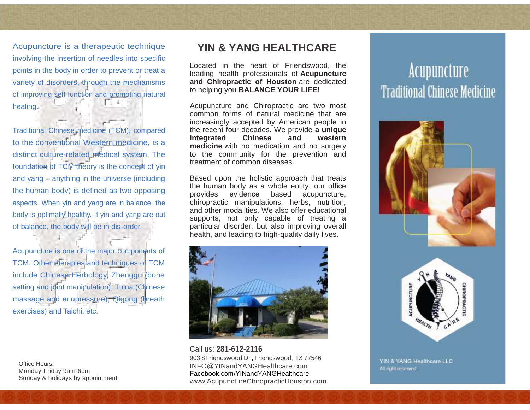Acupuncture is a therapeutic technique involving the insertion of needles into specific points in the body in order to prevent or treat a variety of disorders, through the mechanisms of improving self function and promoting natural healing.

Traditional Chinese medicine (TCM), compared to the conventional Western medicine, is a distinct culture-related medical system. The foundation of TCM theory is the concept of yin and yang – anything in the universe (including the human body) is defined as two opposing aspects. When yin and yang are in balance, the body is optimally healthy. If yin and yang are out of balance, the body will be in dis-order.

Acupuncture is one of the major components of TCM. Other therapies and techniques of TCM include Chinese Herbology, Zhenggu (bone setting and joint manipulation), Tuina (Chinese massage and acupressure), Qigong (breath exercises) and Taichi, etc.

Office Hours: Monday-Friday 9am-6pm Sunday & holidays by appointment

# **YIN & YANG HEALTHCARE**

Located in the heart of Friendswood, the leading health professionals of **Acupuncture and Chiropractic of Houston** are dedicated to helping you **BALANCE YOUR LIFE!**

Acupuncture and Chiropractic are two most common forms of natural medicine that are increasingly accepted by American people in the recent four decades. We provide **a unique integrated Chinese and western medicine** with no medication and no surgery to the community for the prevention and treatment of common diseases.

Based upon the holistic approach that treats the human body as a whole entity, our office provides evidence based acupuncture, chiropractic manipulations, herbs, nutrition, and other modalities. We also offer educational supports, not only capable of treating a particular disorder, but also improving overall health, and leading to high-quality daily lives.



Call us: **281-612-2116** 903 S Friendswood Dr., Friendswood, TX 77546 INFO@YINandYANGHealthcare.com Facebook.com/YINandYANGHealthcare www.AcupunctureChiropracticHouston.com

# **Acupuncture Traditional Chinese Medicine**





YIN & YANG Healthcare LLC All right reserved